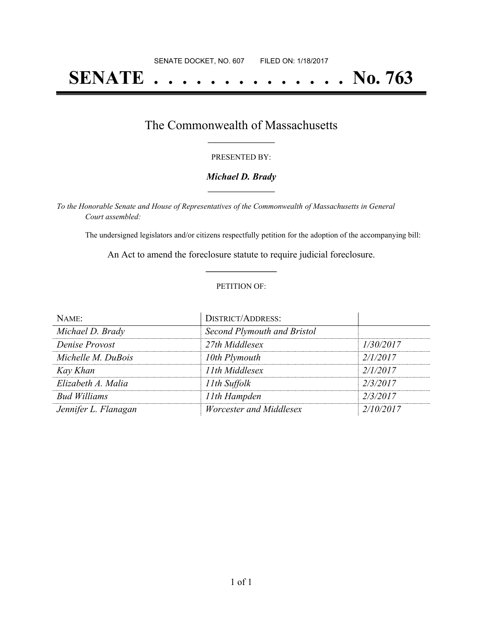# **SENATE . . . . . . . . . . . . . . No. 763**

### The Commonwealth of Massachusetts **\_\_\_\_\_\_\_\_\_\_\_\_\_\_\_\_\_**

#### PRESENTED BY:

#### *Michael D. Brady* **\_\_\_\_\_\_\_\_\_\_\_\_\_\_\_\_\_**

*To the Honorable Senate and House of Representatives of the Commonwealth of Massachusetts in General Court assembled:*

The undersigned legislators and/or citizens respectfully petition for the adoption of the accompanying bill:

An Act to amend the foreclosure statute to require judicial foreclosure. **\_\_\_\_\_\_\_\_\_\_\_\_\_\_\_**

#### PETITION OF:

| NAME:                | <b>DISTRICT/ADDRESS:</b>    |           |
|----------------------|-----------------------------|-----------|
| Michael D. Brady     | Second Plymouth and Bristol |           |
| Denise Provost       | 27th Middlesex              | 1/30/2017 |
| Michelle M. DuBois   | 10th Plymouth               | 2/1/2017  |
| Kay Khan             | 11th Middlesex              | 2/1/2017  |
| Elizabeth A. Malia   | 11th Suffolk                | 2/3/2017  |
| <b>Bud Williams</b>  | 11th Hampden                | 2/3/2017  |
| Jennifer L. Flanagan | Worcester and Middlesex     | 2/10/2017 |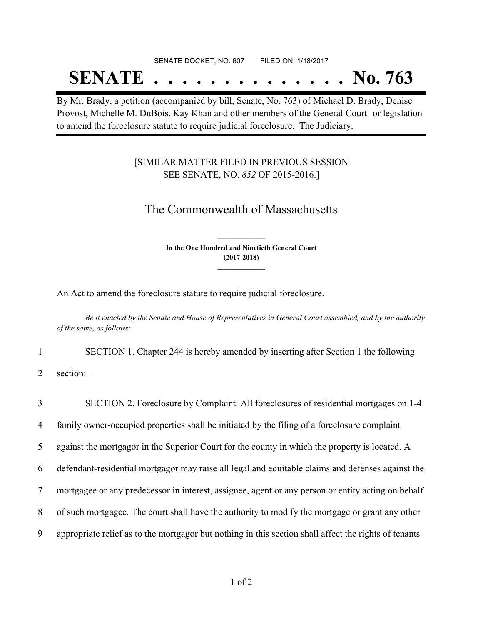# SENATE DOCKET, NO. 607 FILED ON: 1/18/2017

# **SENATE . . . . . . . . . . . . . . No. 763**

By Mr. Brady, a petition (accompanied by bill, Senate, No. 763) of Michael D. Brady, Denise Provost, Michelle M. DuBois, Kay Khan and other members of the General Court for legislation to amend the foreclosure statute to require judicial foreclosure. The Judiciary.

### [SIMILAR MATTER FILED IN PREVIOUS SESSION SEE SENATE, NO. *852* OF 2015-2016.]

## The Commonwealth of Massachusetts

**In the One Hundred and Ninetieth General Court (2017-2018) \_\_\_\_\_\_\_\_\_\_\_\_\_\_\_**

**\_\_\_\_\_\_\_\_\_\_\_\_\_\_\_**

An Act to amend the foreclosure statute to require judicial foreclosure.

Be it enacted by the Senate and House of Representatives in General Court assembled, and by the authority *of the same, as follows:*

1 SECTION 1. Chapter 244 is hereby amended by inserting after Section 1 the following

2 section:–

 SECTION 2. Foreclosure by Complaint: All foreclosures of residential mortgages on 1-4 family owner-occupied properties shall be initiated by the filing of a foreclosure complaint against the mortgagor in the Superior Court for the county in which the property is located. A defendant-residential mortgagor may raise all legal and equitable claims and defenses against the mortgagee or any predecessor in interest, assignee, agent or any person or entity acting on behalf of such mortgagee. The court shall have the authority to modify the mortgage or grant any other appropriate relief as to the mortgagor but nothing in this section shall affect the rights of tenants